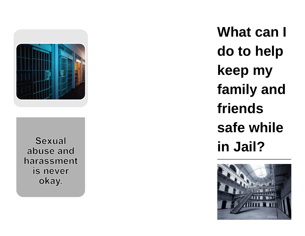

**Sexual** abuse and harassment is never okay.

**What can I do to help keep my family and friends safe while in Jail?**